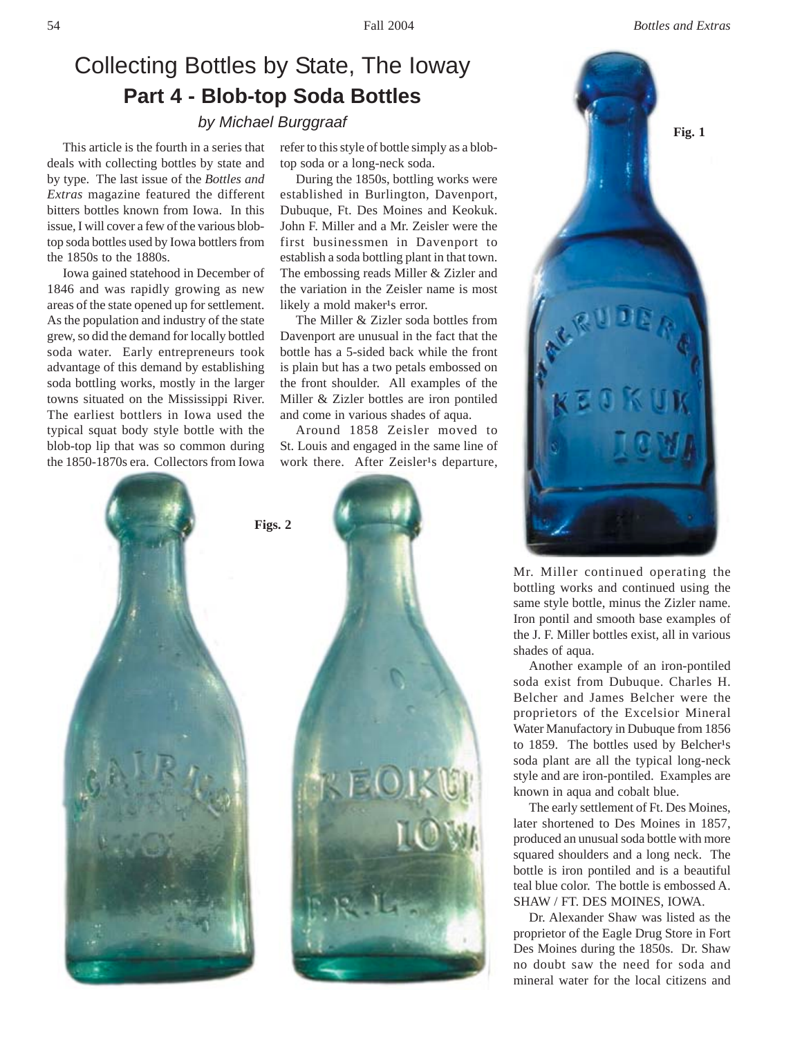## Collecting Bottles by State, The Ioway **Part 4 - Blob-top Soda Bottles**

This article is the fourth in a series that deals with collecting bottles by state and by type. The last issue of the *Bottles and Extras* magazine featured the different bitters bottles known from Iowa. In this issue, I will cover a few of the various blobtop soda bottles used by Iowa bottlers from the 1850s to the 1880s.

Iowa gained statehood in December of 1846 and was rapidly growing as new areas of the state opened up for settlement. As the population and industry of the state grew, so did the demand for locally bottled soda water. Early entrepreneurs took advantage of this demand by establishing soda bottling works, mostly in the larger towns situated on the Mississippi River. The earliest bottlers in Iowa used the typical squat body style bottle with the blob-top lip that was so common during the 1850-1870s era. Collectors from Iowa refer to this style of bottle simply as a blobtop soda or a long-neck soda.

During the 1850s, bottling works were established in Burlington, Davenport, Dubuque, Ft. Des Moines and Keokuk. John F. Miller and a Mr. Zeisler were the first businessmen in Davenport to establish a soda bottling plant in that town. The embossing reads Miller & Zizler and the variation in the Zeisler name is most likely a mold maker<sup>1</sup>s error.

The Miller & Zizler soda bottles from Davenport are unusual in the fact that the bottle has a 5-sided back while the front is plain but has a two petals embossed on the front shoulder. All examples of the Miller & Zizler bottles are iron pontiled and come in various shades of aqua.

Around 1858 Zeisler moved to St. Louis and engaged in the same line of work there. After Zeisler<sup>1</sup>s departure,





Mr. Miller continued operating the bottling works and continued using the same style bottle, minus the Zizler name. Iron pontil and smooth base examples of the J. F. Miller bottles exist, all in various shades of aqua.

Another example of an iron-pontiled soda exist from Dubuque. Charles H. Belcher and James Belcher were the proprietors of the Excelsior Mineral Water Manufactory in Dubuque from 1856 to 1859. The bottles used by Belcher<sup>1</sup>s soda plant are all the typical long-neck style and are iron-pontiled. Examples are known in aqua and cobalt blue.

The early settlement of Ft. Des Moines, later shortened to Des Moines in 1857, produced an unusual soda bottle with more squared shoulders and a long neck. The bottle is iron pontiled and is a beautiful teal blue color. The bottle is embossed A. SHAW / FT. DES MOINES, IOWA.

Dr. Alexander Shaw was listed as the proprietor of the Eagle Drug Store in Fort Des Moines during the 1850s. Dr. Shaw no doubt saw the need for soda and mineral water for the local citizens and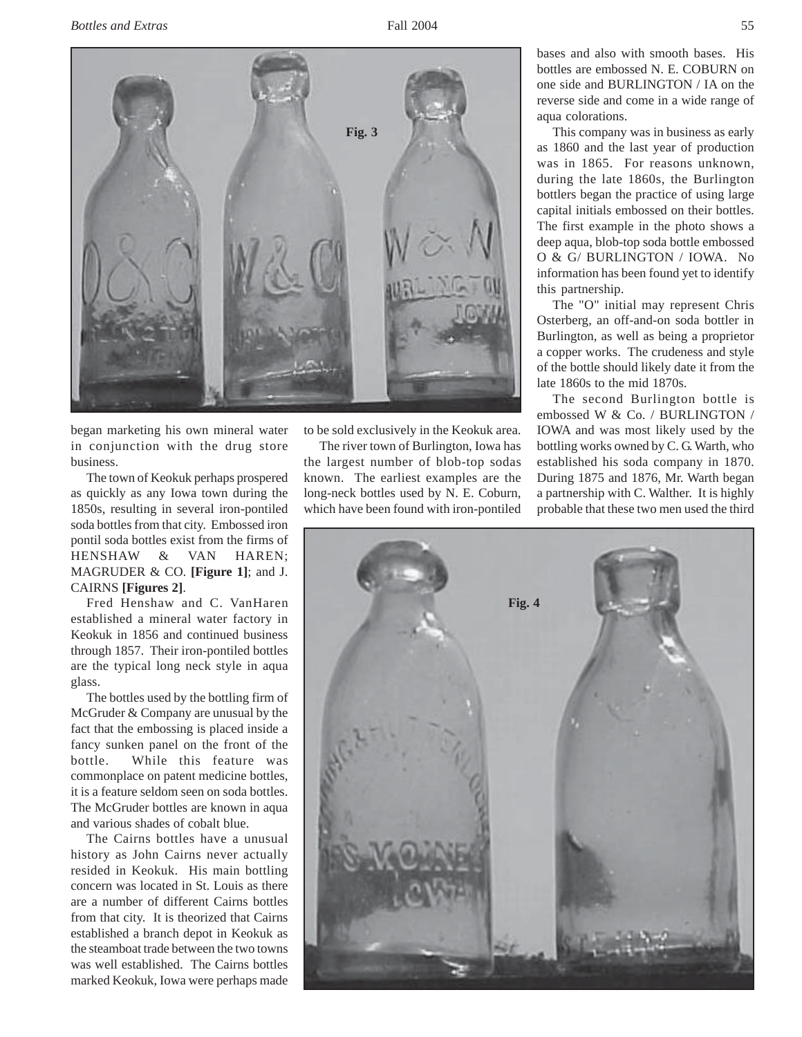

began marketing his own mineral water in conjunction with the drug store business.

The town of Keokuk perhaps prospered as quickly as any Iowa town during the 1850s, resulting in several iron-pontiled soda bottles from that city. Embossed iron pontil soda bottles exist from the firms of HENSHAW & VAN HAREN; MAGRUDER & CO. **[Figure 1]**; and J. CAIRNS **[Figures 2]**.

Fred Henshaw and C. VanHaren established a mineral water factory in Keokuk in 1856 and continued business through 1857. Their iron-pontiled bottles are the typical long neck style in aqua glass.

The bottles used by the bottling firm of McGruder & Company are unusual by the fact that the embossing is placed inside a fancy sunken panel on the front of the bottle. While this feature was commonplace on patent medicine bottles, it is a feature seldom seen on soda bottles. The McGruder bottles are known in aqua and various shades of cobalt blue.

The Cairns bottles have a unusual history as John Cairns never actually resided in Keokuk. His main bottling concern was located in St. Louis as there are a number of different Cairns bottles from that city. It is theorized that Cairns established a branch depot in Keokuk as the steamboat trade between the two towns was well established. The Cairns bottles marked Keokuk, Iowa were perhaps made

to be sold exclusively in the Keokuk area.

The river town of Burlington, Iowa has the largest number of blob-top sodas known. The earliest examples are the long-neck bottles used by N. E. Coburn, which have been found with iron-pontiled bases and also with smooth bases. His bottles are embossed N. E. COBURN on one side and BURLINGTON / IA on the reverse side and come in a wide range of aqua colorations.

This company was in business as early as 1860 and the last year of production was in 1865. For reasons unknown, during the late 1860s, the Burlington bottlers began the practice of using large capital initials embossed on their bottles. The first example in the photo shows a deep aqua, blob-top soda bottle embossed O & G/ BURLINGTON / IOWA. No information has been found yet to identify this partnership.

The "O" initial may represent Chris Osterberg, an off-and-on soda bottler in Burlington, as well as being a proprietor a copper works. The crudeness and style of the bottle should likely date it from the late 1860s to the mid 1870s.

The second Burlington bottle is embossed W & Co. / BURLINGTON / IOWA and was most likely used by the bottling works owned by C. G. Warth, who established his soda company in 1870. During 1875 and 1876, Mr. Warth began a partnership with C. Walther. It is highly probable that these two men used the third

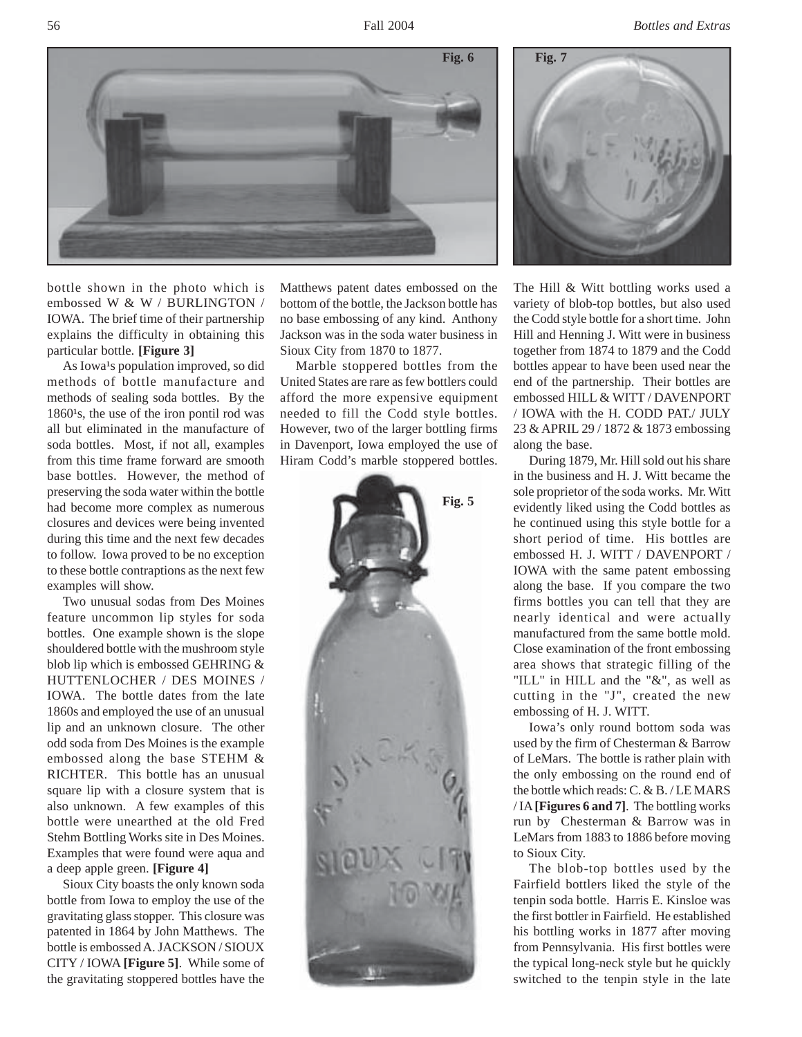56 Fall 2004 *Bottles and Extras*



bottle shown in the photo which is embossed W & W / BURLINGTON / IOWA. The brief time of their partnership explains the difficulty in obtaining this particular bottle. **[Figure 3]**

As Iowa<sup>1</sup>s population improved, so did methods of bottle manufacture and methods of sealing soda bottles. By the  $1860<sup>1</sup>s$ , the use of the iron pontil rod was all but eliminated in the manufacture of soda bottles. Most, if not all, examples from this time frame forward are smooth base bottles. However, the method of preserving the soda water within the bottle had become more complex as numerous closures and devices were being invented during this time and the next few decades to follow. Iowa proved to be no exception to these bottle contraptions as the next few examples will show.

Two unusual sodas from Des Moines feature uncommon lip styles for soda bottles. One example shown is the slope shouldered bottle with the mushroom style blob lip which is embossed GEHRING & HUTTENLOCHER / DES MOINES / IOWA. The bottle dates from the late 1860s and employed the use of an unusual lip and an unknown closure. The other odd soda from Des Moines is the example embossed along the base STEHM & RICHTER. This bottle has an unusual square lip with a closure system that is also unknown. A few examples of this bottle were unearthed at the old Fred Stehm Bottling Works site in Des Moines. Examples that were found were aqua and a deep apple green. **[Figure 4]**

Sioux City boasts the only known soda bottle from Iowa to employ the use of the gravitating glass stopper. This closure was patented in 1864 by John Matthews. The bottle is embossed A. JACKSON / SIOUX CITY / IOWA **[Figure 5]**. While some of the gravitating stoppered bottles have the

Matthews patent dates embossed on the bottom of the bottle, the Jackson bottle has no base embossing of any kind. Anthony Jackson was in the soda water business in Sioux City from 1870 to 1877.

Marble stoppered bottles from the United States are rare as few bottlers could afford the more expensive equipment needed to fill the Codd style bottles. However, two of the larger bottling firms in Davenport, Iowa employed the use of Hiram Codd's marble stoppered bottles.





The Hill & Witt bottling works used a variety of blob-top bottles, but also used the Codd style bottle for a short time. John Hill and Henning J. Witt were in business together from 1874 to 1879 and the Codd bottles appear to have been used near the end of the partnership. Their bottles are embossed HILL & WITT / DAVENPORT / IOWA with the H. CODD PAT./ JULY 23 & APRIL 29 / 1872 & 1873 embossing along the base.

During 1879, Mr. Hill sold out his share in the business and H. J. Witt became the sole proprietor of the soda works. Mr. Witt evidently liked using the Codd bottles as he continued using this style bottle for a short period of time. His bottles are embossed H. J. WITT / DAVENPORT / IOWA with the same patent embossing along the base. If you compare the two firms bottles you can tell that they are nearly identical and were actually manufactured from the same bottle mold. Close examination of the front embossing area shows that strategic filling of the "ILL" in HILL and the "&", as well as cutting in the "J", created the new embossing of H. J. WITT.

Iowa's only round bottom soda was used by the firm of Chesterman & Barrow of LeMars. The bottle is rather plain with the only embossing on the round end of the bottle which reads: C. & B. / LE MARS / IA **[Figures 6 and 7]**. The bottling works run by Chesterman & Barrow was in LeMars from 1883 to 1886 before moving to Sioux City.

The blob-top bottles used by the Fairfield bottlers liked the style of the tenpin soda bottle. Harris E. Kinsloe was the first bottler in Fairfield. He established his bottling works in 1877 after moving from Pennsylvania. His first bottles were the typical long-neck style but he quickly switched to the tenpin style in the late